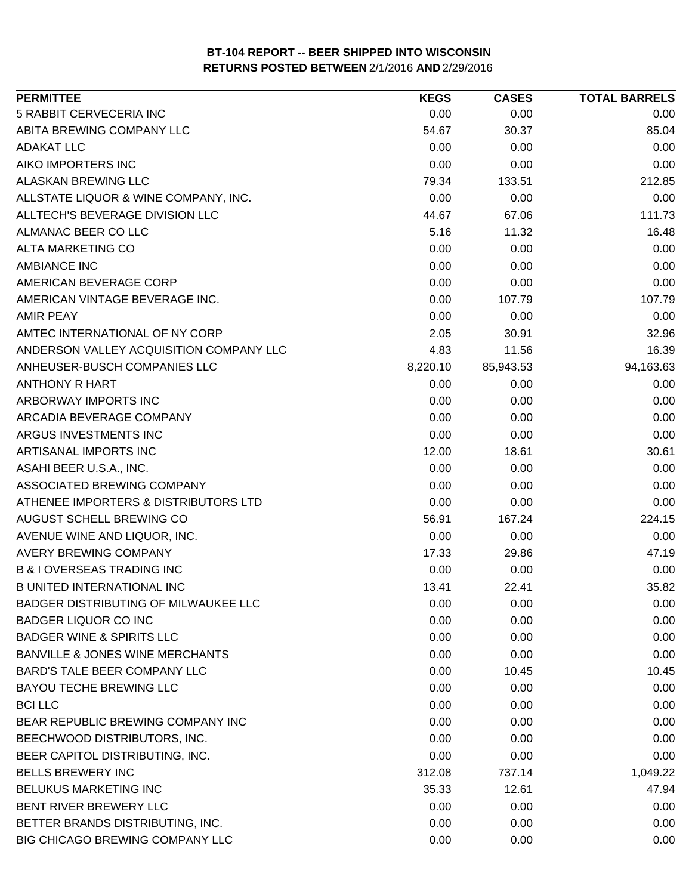| <b>PERMITTEE</b>                           | <b>KEGS</b> | <b>CASES</b> | <b>TOTAL BARRELS</b> |
|--------------------------------------------|-------------|--------------|----------------------|
| 5 RABBIT CERVECERIA INC                    | 0.00        | 0.00         | 0.00                 |
| ABITA BREWING COMPANY LLC                  | 54.67       | 30.37        | 85.04                |
| ADAKAT LLC                                 | 0.00        | 0.00         | 0.00                 |
| AIKO IMPORTERS INC                         | 0.00        | 0.00         | 0.00                 |
| ALASKAN BREWING LLC                        | 79.34       | 133.51       | 212.85               |
| ALLSTATE LIQUOR & WINE COMPANY, INC.       | 0.00        | 0.00         | 0.00                 |
| ALLTECH'S BEVERAGE DIVISION LLC            | 44.67       | 67.06        | 111.73               |
| ALMANAC BEER CO LLC                        | 5.16        | 11.32        | 16.48                |
| ALTA MARKETING CO                          | 0.00        | 0.00         | 0.00                 |
| <b>AMBIANCE INC</b>                        | 0.00        | 0.00         | 0.00                 |
| AMERICAN BEVERAGE CORP                     | 0.00        | 0.00         | 0.00                 |
| AMERICAN VINTAGE BEVERAGE INC.             | 0.00        | 107.79       | 107.79               |
| <b>AMIR PEAY</b>                           | 0.00        | 0.00         | 0.00                 |
| AMTEC INTERNATIONAL OF NY CORP             | 2.05        | 30.91        | 32.96                |
| ANDERSON VALLEY ACQUISITION COMPANY LLC    | 4.83        | 11.56        | 16.39                |
| ANHEUSER-BUSCH COMPANIES LLC               | 8,220.10    | 85,943.53    | 94,163.63            |
| ANTHONY R HART                             | 0.00        | 0.00         | 0.00                 |
| ARBORWAY IMPORTS INC                       | 0.00        | 0.00         | 0.00                 |
| ARCADIA BEVERAGE COMPANY                   | 0.00        | 0.00         | 0.00                 |
| ARGUS INVESTMENTS INC                      | 0.00        | 0.00         | 0.00                 |
| ARTISANAL IMPORTS INC                      | 12.00       | 18.61        | 30.61                |
| ASAHI BEER U.S.A., INC.                    | 0.00        | 0.00         | 0.00                 |
| ASSOCIATED BREWING COMPANY                 | 0.00        | 0.00         | 0.00                 |
| ATHENEE IMPORTERS & DISTRIBUTORS LTD       | 0.00        | 0.00         | 0.00                 |
| AUGUST SCHELL BREWING CO                   | 56.91       | 167.24       | 224.15               |
| AVENUE WINE AND LIQUOR, INC.               | 0.00        | 0.00         | 0.00                 |
| <b>AVERY BREWING COMPANY</b>               | 17.33       | 29.86        | 47.19                |
| <b>B &amp; I OVERSEAS TRADING INC</b>      | 0.00        | 0.00         | 0.00                 |
| <b>B UNITED INTERNATIONAL INC</b>          | 13.41       | 22.41        | 35.82                |
| BADGER DISTRIBUTING OF MILWAUKEE LLC       | 0.00        | 0.00         | 0.00                 |
| <b>BADGER LIQUOR CO INC</b>                | 0.00        | 0.00         | 0.00                 |
| <b>BADGER WINE &amp; SPIRITS LLC</b>       | 0.00        | 0.00         | 0.00                 |
| <b>BANVILLE &amp; JONES WINE MERCHANTS</b> | 0.00        | 0.00         | 0.00                 |
| <b>BARD'S TALE BEER COMPANY LLC</b>        | 0.00        | 10.45        | 10.45                |
| <b>BAYOU TECHE BREWING LLC</b>             | 0.00        | 0.00         | 0.00                 |
| <b>BCI LLC</b>                             | 0.00        | 0.00         | 0.00                 |
| BEAR REPUBLIC BREWING COMPANY INC          | 0.00        | 0.00         | 0.00                 |
| BEECHWOOD DISTRIBUTORS, INC.               | 0.00        | 0.00         | 0.00                 |
| BEER CAPITOL DISTRIBUTING, INC.            | 0.00        | 0.00         | 0.00                 |
| <b>BELLS BREWERY INC</b>                   | 312.08      | 737.14       | 1,049.22             |
| BELUKUS MARKETING INC                      | 35.33       | 12.61        | 47.94                |
| BENT RIVER BREWERY LLC                     | 0.00        | 0.00         | 0.00                 |
| BETTER BRANDS DISTRIBUTING, INC.           | 0.00        | 0.00         | 0.00                 |
| BIG CHICAGO BREWING COMPANY LLC            | 0.00        | 0.00         | 0.00                 |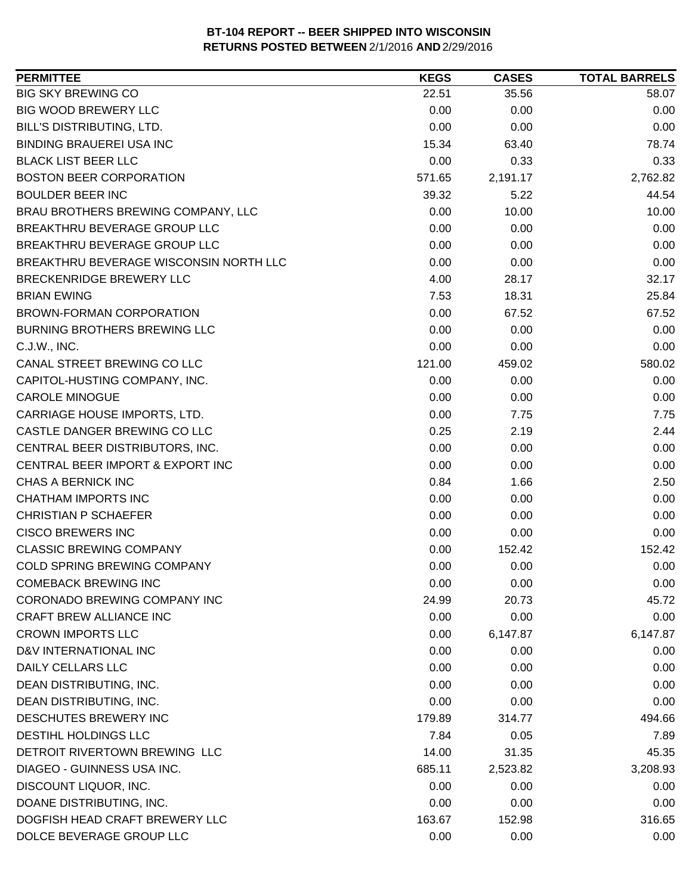| <b>PERMITTEE</b>                       | <b>KEGS</b> | <b>CASES</b> | <b>TOTAL BARRELS</b> |
|----------------------------------------|-------------|--------------|----------------------|
| <b>BIG SKY BREWING CO</b>              | 22.51       | 35.56        | 58.07                |
| <b>BIG WOOD BREWERY LLC</b>            | 0.00        | 0.00         | 0.00                 |
| BILL'S DISTRIBUTING, LTD.              | 0.00        | 0.00         | 0.00                 |
| <b>BINDING BRAUEREI USA INC</b>        | 15.34       | 63.40        | 78.74                |
| <b>BLACK LIST BEER LLC</b>             | 0.00        | 0.33         | 0.33                 |
| <b>BOSTON BEER CORPORATION</b>         | 571.65      | 2,191.17     | 2,762.82             |
| <b>BOULDER BEER INC</b>                | 39.32       | 5.22         | 44.54                |
| BRAU BROTHERS BREWING COMPANY, LLC     | 0.00        | 10.00        | 10.00                |
| BREAKTHRU BEVERAGE GROUP LLC           | 0.00        | 0.00         | 0.00                 |
| BREAKTHRU BEVERAGE GROUP LLC           | 0.00        | 0.00         | 0.00                 |
| BREAKTHRU BEVERAGE WISCONSIN NORTH LLC | 0.00        | 0.00         | 0.00                 |
| BRECKENRIDGE BREWERY LLC               | 4.00        | 28.17        | 32.17                |
| <b>BRIAN EWING</b>                     | 7.53        | 18.31        | 25.84                |
| <b>BROWN-FORMAN CORPORATION</b>        | 0.00        | 67.52        | 67.52                |
| <b>BURNING BROTHERS BREWING LLC</b>    | 0.00        | 0.00         | 0.00                 |
| C.J.W., INC.                           | 0.00        | 0.00         | 0.00                 |
| CANAL STREET BREWING CO LLC            | 121.00      | 459.02       | 580.02               |
| CAPITOL-HUSTING COMPANY, INC.          | 0.00        | 0.00         | 0.00                 |
| <b>CAROLE MINOGUE</b>                  | 0.00        | 0.00         | 0.00                 |
| CARRIAGE HOUSE IMPORTS, LTD.           | 0.00        | 7.75         | 7.75                 |
| CASTLE DANGER BREWING CO LLC           | 0.25        | 2.19         | 2.44                 |
| CENTRAL BEER DISTRIBUTORS, INC.        | 0.00        | 0.00         | 0.00                 |
| CENTRAL BEER IMPORT & EXPORT INC       | 0.00        | 0.00         | 0.00                 |
| CHAS A BERNICK INC                     | 0.84        | 1.66         | 2.50                 |
| <b>CHATHAM IMPORTS INC</b>             | 0.00        | 0.00         | 0.00                 |
| <b>CHRISTIAN P SCHAEFER</b>            | 0.00        | 0.00         | 0.00                 |
| <b>CISCO BREWERS INC</b>               | 0.00        | 0.00         | 0.00                 |
| <b>CLASSIC BREWING COMPANY</b>         | 0.00        | 152.42       | 152.42               |
| COLD SPRING BREWING COMPANY            | 0.00        | 0.00         | 0.00                 |
| <b>COMEBACK BREWING INC</b>            | 0.00        | 0.00         | 0.00                 |
| CORONADO BREWING COMPANY INC           | 24.99       | 20.73        | 45.72                |
| <b>CRAFT BREW ALLIANCE INC</b>         | 0.00        | 0.00         | 0.00                 |
| <b>CROWN IMPORTS LLC</b>               | 0.00        | 6,147.87     | 6,147.87             |
| D&V INTERNATIONAL INC                  | 0.00        | 0.00         | 0.00                 |
| <b>DAILY CELLARS LLC</b>               | 0.00        | 0.00         | 0.00                 |
| DEAN DISTRIBUTING, INC.                | 0.00        | 0.00         | 0.00                 |
| DEAN DISTRIBUTING, INC.                | 0.00        | 0.00         | 0.00                 |
| DESCHUTES BREWERY INC                  | 179.89      | 314.77       | 494.66               |
| <b>DESTIHL HOLDINGS LLC</b>            | 7.84        | 0.05         | 7.89                 |
| DETROIT RIVERTOWN BREWING LLC          | 14.00       | 31.35        | 45.35                |
| DIAGEO - GUINNESS USA INC.             | 685.11      | 2,523.82     | 3,208.93             |
| DISCOUNT LIQUOR, INC.                  | 0.00        | 0.00         | 0.00                 |
| DOANE DISTRIBUTING, INC.               | 0.00        | 0.00         | 0.00                 |
| DOGFISH HEAD CRAFT BREWERY LLC         | 163.67      | 152.98       | 316.65               |
| DOLCE BEVERAGE GROUP LLC               | 0.00        | 0.00         | 0.00                 |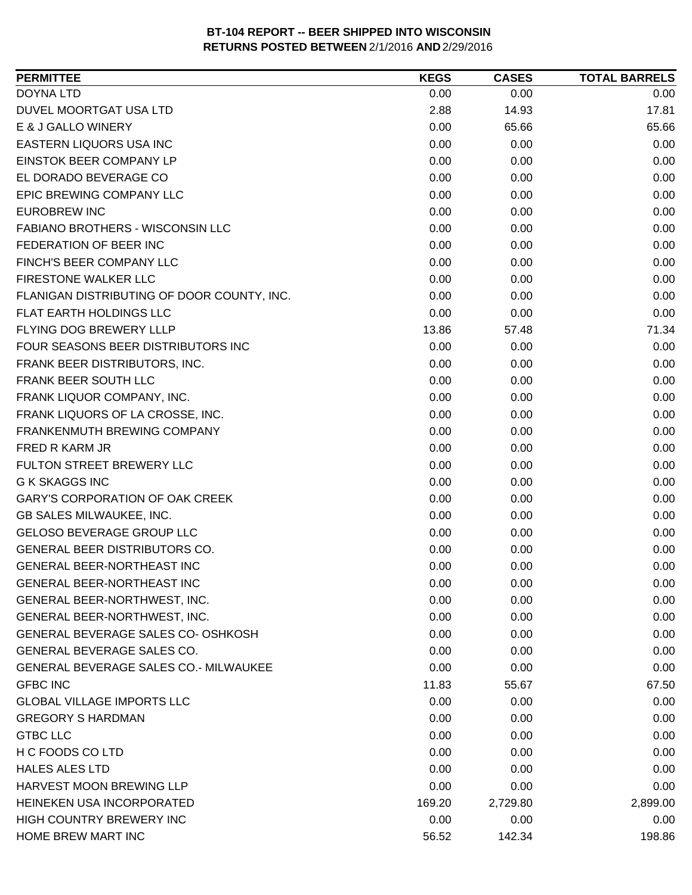| <b>DOYNA LTD</b><br>0.00<br>0.00<br>0.00<br>DUVEL MOORTGAT USA LTD<br>2.88<br>17.81<br>14.93<br>0.00<br>E & J GALLO WINERY<br>65.66<br>65.66<br>0.00<br>EASTERN LIQUORS USA INC<br>0.00<br>0.00<br>EINSTOK BEER COMPANY LP<br>0.00<br>0.00<br>0.00<br>EL DORADO BEVERAGE CO<br>0.00<br>0.00<br>0.00<br>EPIC BREWING COMPANY LLC<br>0.00<br>0.00<br>0.00<br><b>EUROBREW INC</b><br>0.00<br>0.00<br>0.00<br>0.00<br>0.00<br>FABIANO BROTHERS - WISCONSIN LLC<br>0.00<br>FEDERATION OF BEER INC<br>0.00<br>0.00<br>0.00<br>FINCH'S BEER COMPANY LLC<br>0.00<br>0.00<br>0.00<br>FIRESTONE WALKER LLC<br>0.00<br>0.00<br>0.00<br>0.00<br>0.00<br>FLANIGAN DISTRIBUTING OF DOOR COUNTY, INC.<br>0.00<br>FLAT EARTH HOLDINGS LLC<br>0.00<br>0.00<br>0.00<br>FLYING DOG BREWERY LLLP<br>13.86<br>57.48<br>71.34<br>FOUR SEASONS BEER DISTRIBUTORS INC<br>0.00<br>0.00<br>0.00<br>0.00<br>FRANK BEER DISTRIBUTORS, INC.<br>0.00<br>0.00<br>FRANK BEER SOUTH LLC<br>0.00<br>0.00<br>0.00<br>FRANK LIQUOR COMPANY, INC.<br>0.00<br>0.00<br>0.00<br>FRANK LIQUORS OF LA CROSSE, INC.<br>0.00<br>0.00<br>0.00<br>0.00<br>0.00<br>0.00<br>FRANKENMUTH BREWING COMPANY<br>FRED R KARM JR<br>0.00<br>0.00<br>0.00<br>FULTON STREET BREWERY LLC<br>0.00<br>0.00<br>0.00<br><b>G K SKAGGS INC</b><br>0.00<br>0.00<br>0.00<br>0.00<br>0.00<br>0.00<br><b>GARY'S CORPORATION OF OAK CREEK</b><br>GB SALES MILWAUKEE, INC.<br>0.00<br>0.00<br>0.00<br>GELOSO BEVERAGE GROUP LLC<br>0.00<br>0.00<br>0.00<br><b>GENERAL BEER DISTRIBUTORS CO.</b><br>0.00<br>0.00<br>0.00<br>GENERAL BEER-NORTHEAST INC<br>0.00<br>0.00<br>0.00<br><b>GENERAL BEER-NORTHEAST INC</b><br>0.00<br>0.00<br>0.00<br>0.00<br>0.00<br>0.00<br>GENERAL BEER-NORTHWEST, INC.<br>GENERAL BEER-NORTHWEST, INC.<br>0.00<br>0.00<br>0.00<br>GENERAL BEVERAGE SALES CO- OSHKOSH<br>0.00<br>0.00<br>0.00<br><b>GENERAL BEVERAGE SALES CO.</b><br>0.00<br>0.00<br>0.00<br>0.00<br><b>GENERAL BEVERAGE SALES CO.- MILWAUKEE</b><br>0.00<br>0.00<br><b>GFBC INC</b><br>11.83<br>67.50<br>55.67<br><b>GLOBAL VILLAGE IMPORTS LLC</b><br>0.00<br>0.00<br>0.00<br><b>GREGORY S HARDMAN</b><br>0.00<br>0.00<br>0.00<br><b>GTBC LLC</b><br>0.00<br>0.00<br>0.00<br>H C FOODS CO LTD<br>0.00<br>0.00<br>0.00<br><b>HALES ALES LTD</b><br>0.00<br>0.00<br>0.00<br><b>HARVEST MOON BREWING LLP</b><br>0.00<br>0.00<br>0.00 | <b>PERMITTEE</b> | <b>KEGS</b> | <b>CASES</b> | <b>TOTAL BARRELS</b> |
|------------------------------------------------------------------------------------------------------------------------------------------------------------------------------------------------------------------------------------------------------------------------------------------------------------------------------------------------------------------------------------------------------------------------------------------------------------------------------------------------------------------------------------------------------------------------------------------------------------------------------------------------------------------------------------------------------------------------------------------------------------------------------------------------------------------------------------------------------------------------------------------------------------------------------------------------------------------------------------------------------------------------------------------------------------------------------------------------------------------------------------------------------------------------------------------------------------------------------------------------------------------------------------------------------------------------------------------------------------------------------------------------------------------------------------------------------------------------------------------------------------------------------------------------------------------------------------------------------------------------------------------------------------------------------------------------------------------------------------------------------------------------------------------------------------------------------------------------------------------------------------------------------------------------------------------------------------------------------------------------------------------------------------------------------------------------------------------------------------------------------------------------------------------------------------------------------------------------------------------------------------------------------------------------------------------------------------------------------------|------------------|-------------|--------------|----------------------|
|                                                                                                                                                                                                                                                                                                                                                                                                                                                                                                                                                                                                                                                                                                                                                                                                                                                                                                                                                                                                                                                                                                                                                                                                                                                                                                                                                                                                                                                                                                                                                                                                                                                                                                                                                                                                                                                                                                                                                                                                                                                                                                                                                                                                                                                                                                                                                            |                  |             |              |                      |
|                                                                                                                                                                                                                                                                                                                                                                                                                                                                                                                                                                                                                                                                                                                                                                                                                                                                                                                                                                                                                                                                                                                                                                                                                                                                                                                                                                                                                                                                                                                                                                                                                                                                                                                                                                                                                                                                                                                                                                                                                                                                                                                                                                                                                                                                                                                                                            |                  |             |              |                      |
|                                                                                                                                                                                                                                                                                                                                                                                                                                                                                                                                                                                                                                                                                                                                                                                                                                                                                                                                                                                                                                                                                                                                                                                                                                                                                                                                                                                                                                                                                                                                                                                                                                                                                                                                                                                                                                                                                                                                                                                                                                                                                                                                                                                                                                                                                                                                                            |                  |             |              |                      |
|                                                                                                                                                                                                                                                                                                                                                                                                                                                                                                                                                                                                                                                                                                                                                                                                                                                                                                                                                                                                                                                                                                                                                                                                                                                                                                                                                                                                                                                                                                                                                                                                                                                                                                                                                                                                                                                                                                                                                                                                                                                                                                                                                                                                                                                                                                                                                            |                  |             |              |                      |
|                                                                                                                                                                                                                                                                                                                                                                                                                                                                                                                                                                                                                                                                                                                                                                                                                                                                                                                                                                                                                                                                                                                                                                                                                                                                                                                                                                                                                                                                                                                                                                                                                                                                                                                                                                                                                                                                                                                                                                                                                                                                                                                                                                                                                                                                                                                                                            |                  |             |              |                      |
|                                                                                                                                                                                                                                                                                                                                                                                                                                                                                                                                                                                                                                                                                                                                                                                                                                                                                                                                                                                                                                                                                                                                                                                                                                                                                                                                                                                                                                                                                                                                                                                                                                                                                                                                                                                                                                                                                                                                                                                                                                                                                                                                                                                                                                                                                                                                                            |                  |             |              |                      |
|                                                                                                                                                                                                                                                                                                                                                                                                                                                                                                                                                                                                                                                                                                                                                                                                                                                                                                                                                                                                                                                                                                                                                                                                                                                                                                                                                                                                                                                                                                                                                                                                                                                                                                                                                                                                                                                                                                                                                                                                                                                                                                                                                                                                                                                                                                                                                            |                  |             |              |                      |
|                                                                                                                                                                                                                                                                                                                                                                                                                                                                                                                                                                                                                                                                                                                                                                                                                                                                                                                                                                                                                                                                                                                                                                                                                                                                                                                                                                                                                                                                                                                                                                                                                                                                                                                                                                                                                                                                                                                                                                                                                                                                                                                                                                                                                                                                                                                                                            |                  |             |              |                      |
|                                                                                                                                                                                                                                                                                                                                                                                                                                                                                                                                                                                                                                                                                                                                                                                                                                                                                                                                                                                                                                                                                                                                                                                                                                                                                                                                                                                                                                                                                                                                                                                                                                                                                                                                                                                                                                                                                                                                                                                                                                                                                                                                                                                                                                                                                                                                                            |                  |             |              |                      |
|                                                                                                                                                                                                                                                                                                                                                                                                                                                                                                                                                                                                                                                                                                                                                                                                                                                                                                                                                                                                                                                                                                                                                                                                                                                                                                                                                                                                                                                                                                                                                                                                                                                                                                                                                                                                                                                                                                                                                                                                                                                                                                                                                                                                                                                                                                                                                            |                  |             |              |                      |
|                                                                                                                                                                                                                                                                                                                                                                                                                                                                                                                                                                                                                                                                                                                                                                                                                                                                                                                                                                                                                                                                                                                                                                                                                                                                                                                                                                                                                                                                                                                                                                                                                                                                                                                                                                                                                                                                                                                                                                                                                                                                                                                                                                                                                                                                                                                                                            |                  |             |              |                      |
|                                                                                                                                                                                                                                                                                                                                                                                                                                                                                                                                                                                                                                                                                                                                                                                                                                                                                                                                                                                                                                                                                                                                                                                                                                                                                                                                                                                                                                                                                                                                                                                                                                                                                                                                                                                                                                                                                                                                                                                                                                                                                                                                                                                                                                                                                                                                                            |                  |             |              |                      |
|                                                                                                                                                                                                                                                                                                                                                                                                                                                                                                                                                                                                                                                                                                                                                                                                                                                                                                                                                                                                                                                                                                                                                                                                                                                                                                                                                                                                                                                                                                                                                                                                                                                                                                                                                                                                                                                                                                                                                                                                                                                                                                                                                                                                                                                                                                                                                            |                  |             |              |                      |
|                                                                                                                                                                                                                                                                                                                                                                                                                                                                                                                                                                                                                                                                                                                                                                                                                                                                                                                                                                                                                                                                                                                                                                                                                                                                                                                                                                                                                                                                                                                                                                                                                                                                                                                                                                                                                                                                                                                                                                                                                                                                                                                                                                                                                                                                                                                                                            |                  |             |              |                      |
|                                                                                                                                                                                                                                                                                                                                                                                                                                                                                                                                                                                                                                                                                                                                                                                                                                                                                                                                                                                                                                                                                                                                                                                                                                                                                                                                                                                                                                                                                                                                                                                                                                                                                                                                                                                                                                                                                                                                                                                                                                                                                                                                                                                                                                                                                                                                                            |                  |             |              |                      |
|                                                                                                                                                                                                                                                                                                                                                                                                                                                                                                                                                                                                                                                                                                                                                                                                                                                                                                                                                                                                                                                                                                                                                                                                                                                                                                                                                                                                                                                                                                                                                                                                                                                                                                                                                                                                                                                                                                                                                                                                                                                                                                                                                                                                                                                                                                                                                            |                  |             |              |                      |
|                                                                                                                                                                                                                                                                                                                                                                                                                                                                                                                                                                                                                                                                                                                                                                                                                                                                                                                                                                                                                                                                                                                                                                                                                                                                                                                                                                                                                                                                                                                                                                                                                                                                                                                                                                                                                                                                                                                                                                                                                                                                                                                                                                                                                                                                                                                                                            |                  |             |              |                      |
|                                                                                                                                                                                                                                                                                                                                                                                                                                                                                                                                                                                                                                                                                                                                                                                                                                                                                                                                                                                                                                                                                                                                                                                                                                                                                                                                                                                                                                                                                                                                                                                                                                                                                                                                                                                                                                                                                                                                                                                                                                                                                                                                                                                                                                                                                                                                                            |                  |             |              |                      |
|                                                                                                                                                                                                                                                                                                                                                                                                                                                                                                                                                                                                                                                                                                                                                                                                                                                                                                                                                                                                                                                                                                                                                                                                                                                                                                                                                                                                                                                                                                                                                                                                                                                                                                                                                                                                                                                                                                                                                                                                                                                                                                                                                                                                                                                                                                                                                            |                  |             |              |                      |
|                                                                                                                                                                                                                                                                                                                                                                                                                                                                                                                                                                                                                                                                                                                                                                                                                                                                                                                                                                                                                                                                                                                                                                                                                                                                                                                                                                                                                                                                                                                                                                                                                                                                                                                                                                                                                                                                                                                                                                                                                                                                                                                                                                                                                                                                                                                                                            |                  |             |              |                      |
|                                                                                                                                                                                                                                                                                                                                                                                                                                                                                                                                                                                                                                                                                                                                                                                                                                                                                                                                                                                                                                                                                                                                                                                                                                                                                                                                                                                                                                                                                                                                                                                                                                                                                                                                                                                                                                                                                                                                                                                                                                                                                                                                                                                                                                                                                                                                                            |                  |             |              |                      |
|                                                                                                                                                                                                                                                                                                                                                                                                                                                                                                                                                                                                                                                                                                                                                                                                                                                                                                                                                                                                                                                                                                                                                                                                                                                                                                                                                                                                                                                                                                                                                                                                                                                                                                                                                                                                                                                                                                                                                                                                                                                                                                                                                                                                                                                                                                                                                            |                  |             |              |                      |
|                                                                                                                                                                                                                                                                                                                                                                                                                                                                                                                                                                                                                                                                                                                                                                                                                                                                                                                                                                                                                                                                                                                                                                                                                                                                                                                                                                                                                                                                                                                                                                                                                                                                                                                                                                                                                                                                                                                                                                                                                                                                                                                                                                                                                                                                                                                                                            |                  |             |              |                      |
|                                                                                                                                                                                                                                                                                                                                                                                                                                                                                                                                                                                                                                                                                                                                                                                                                                                                                                                                                                                                                                                                                                                                                                                                                                                                                                                                                                                                                                                                                                                                                                                                                                                                                                                                                                                                                                                                                                                                                                                                                                                                                                                                                                                                                                                                                                                                                            |                  |             |              |                      |
|                                                                                                                                                                                                                                                                                                                                                                                                                                                                                                                                                                                                                                                                                                                                                                                                                                                                                                                                                                                                                                                                                                                                                                                                                                                                                                                                                                                                                                                                                                                                                                                                                                                                                                                                                                                                                                                                                                                                                                                                                                                                                                                                                                                                                                                                                                                                                            |                  |             |              |                      |
|                                                                                                                                                                                                                                                                                                                                                                                                                                                                                                                                                                                                                                                                                                                                                                                                                                                                                                                                                                                                                                                                                                                                                                                                                                                                                                                                                                                                                                                                                                                                                                                                                                                                                                                                                                                                                                                                                                                                                                                                                                                                                                                                                                                                                                                                                                                                                            |                  |             |              |                      |
|                                                                                                                                                                                                                                                                                                                                                                                                                                                                                                                                                                                                                                                                                                                                                                                                                                                                                                                                                                                                                                                                                                                                                                                                                                                                                                                                                                                                                                                                                                                                                                                                                                                                                                                                                                                                                                                                                                                                                                                                                                                                                                                                                                                                                                                                                                                                                            |                  |             |              |                      |
|                                                                                                                                                                                                                                                                                                                                                                                                                                                                                                                                                                                                                                                                                                                                                                                                                                                                                                                                                                                                                                                                                                                                                                                                                                                                                                                                                                                                                                                                                                                                                                                                                                                                                                                                                                                                                                                                                                                                                                                                                                                                                                                                                                                                                                                                                                                                                            |                  |             |              |                      |
|                                                                                                                                                                                                                                                                                                                                                                                                                                                                                                                                                                                                                                                                                                                                                                                                                                                                                                                                                                                                                                                                                                                                                                                                                                                                                                                                                                                                                                                                                                                                                                                                                                                                                                                                                                                                                                                                                                                                                                                                                                                                                                                                                                                                                                                                                                                                                            |                  |             |              |                      |
|                                                                                                                                                                                                                                                                                                                                                                                                                                                                                                                                                                                                                                                                                                                                                                                                                                                                                                                                                                                                                                                                                                                                                                                                                                                                                                                                                                                                                                                                                                                                                                                                                                                                                                                                                                                                                                                                                                                                                                                                                                                                                                                                                                                                                                                                                                                                                            |                  |             |              |                      |
|                                                                                                                                                                                                                                                                                                                                                                                                                                                                                                                                                                                                                                                                                                                                                                                                                                                                                                                                                                                                                                                                                                                                                                                                                                                                                                                                                                                                                                                                                                                                                                                                                                                                                                                                                                                                                                                                                                                                                                                                                                                                                                                                                                                                                                                                                                                                                            |                  |             |              |                      |
|                                                                                                                                                                                                                                                                                                                                                                                                                                                                                                                                                                                                                                                                                                                                                                                                                                                                                                                                                                                                                                                                                                                                                                                                                                                                                                                                                                                                                                                                                                                                                                                                                                                                                                                                                                                                                                                                                                                                                                                                                                                                                                                                                                                                                                                                                                                                                            |                  |             |              |                      |
|                                                                                                                                                                                                                                                                                                                                                                                                                                                                                                                                                                                                                                                                                                                                                                                                                                                                                                                                                                                                                                                                                                                                                                                                                                                                                                                                                                                                                                                                                                                                                                                                                                                                                                                                                                                                                                                                                                                                                                                                                                                                                                                                                                                                                                                                                                                                                            |                  |             |              |                      |
|                                                                                                                                                                                                                                                                                                                                                                                                                                                                                                                                                                                                                                                                                                                                                                                                                                                                                                                                                                                                                                                                                                                                                                                                                                                                                                                                                                                                                                                                                                                                                                                                                                                                                                                                                                                                                                                                                                                                                                                                                                                                                                                                                                                                                                                                                                                                                            |                  |             |              |                      |
|                                                                                                                                                                                                                                                                                                                                                                                                                                                                                                                                                                                                                                                                                                                                                                                                                                                                                                                                                                                                                                                                                                                                                                                                                                                                                                                                                                                                                                                                                                                                                                                                                                                                                                                                                                                                                                                                                                                                                                                                                                                                                                                                                                                                                                                                                                                                                            |                  |             |              |                      |
|                                                                                                                                                                                                                                                                                                                                                                                                                                                                                                                                                                                                                                                                                                                                                                                                                                                                                                                                                                                                                                                                                                                                                                                                                                                                                                                                                                                                                                                                                                                                                                                                                                                                                                                                                                                                                                                                                                                                                                                                                                                                                                                                                                                                                                                                                                                                                            |                  |             |              |                      |
|                                                                                                                                                                                                                                                                                                                                                                                                                                                                                                                                                                                                                                                                                                                                                                                                                                                                                                                                                                                                                                                                                                                                                                                                                                                                                                                                                                                                                                                                                                                                                                                                                                                                                                                                                                                                                                                                                                                                                                                                                                                                                                                                                                                                                                                                                                                                                            |                  |             |              |                      |
|                                                                                                                                                                                                                                                                                                                                                                                                                                                                                                                                                                                                                                                                                                                                                                                                                                                                                                                                                                                                                                                                                                                                                                                                                                                                                                                                                                                                                                                                                                                                                                                                                                                                                                                                                                                                                                                                                                                                                                                                                                                                                                                                                                                                                                                                                                                                                            |                  |             |              |                      |
|                                                                                                                                                                                                                                                                                                                                                                                                                                                                                                                                                                                                                                                                                                                                                                                                                                                                                                                                                                                                                                                                                                                                                                                                                                                                                                                                                                                                                                                                                                                                                                                                                                                                                                                                                                                                                                                                                                                                                                                                                                                                                                                                                                                                                                                                                                                                                            |                  |             |              |                      |
|                                                                                                                                                                                                                                                                                                                                                                                                                                                                                                                                                                                                                                                                                                                                                                                                                                                                                                                                                                                                                                                                                                                                                                                                                                                                                                                                                                                                                                                                                                                                                                                                                                                                                                                                                                                                                                                                                                                                                                                                                                                                                                                                                                                                                                                                                                                                                            |                  |             |              |                      |
|                                                                                                                                                                                                                                                                                                                                                                                                                                                                                                                                                                                                                                                                                                                                                                                                                                                                                                                                                                                                                                                                                                                                                                                                                                                                                                                                                                                                                                                                                                                                                                                                                                                                                                                                                                                                                                                                                                                                                                                                                                                                                                                                                                                                                                                                                                                                                            |                  |             |              |                      |
|                                                                                                                                                                                                                                                                                                                                                                                                                                                                                                                                                                                                                                                                                                                                                                                                                                                                                                                                                                                                                                                                                                                                                                                                                                                                                                                                                                                                                                                                                                                                                                                                                                                                                                                                                                                                                                                                                                                                                                                                                                                                                                                                                                                                                                                                                                                                                            |                  |             |              |                      |
| 2,899.00<br>HEINEKEN USA INCORPORATED<br>169.20<br>2,729.80                                                                                                                                                                                                                                                                                                                                                                                                                                                                                                                                                                                                                                                                                                                                                                                                                                                                                                                                                                                                                                                                                                                                                                                                                                                                                                                                                                                                                                                                                                                                                                                                                                                                                                                                                                                                                                                                                                                                                                                                                                                                                                                                                                                                                                                                                                |                  |             |              |                      |
| HIGH COUNTRY BREWERY INC<br>0.00<br>0.00<br>0.00                                                                                                                                                                                                                                                                                                                                                                                                                                                                                                                                                                                                                                                                                                                                                                                                                                                                                                                                                                                                                                                                                                                                                                                                                                                                                                                                                                                                                                                                                                                                                                                                                                                                                                                                                                                                                                                                                                                                                                                                                                                                                                                                                                                                                                                                                                           |                  |             |              |                      |
| HOME BREW MART INC<br>198.86<br>56.52<br>142.34                                                                                                                                                                                                                                                                                                                                                                                                                                                                                                                                                                                                                                                                                                                                                                                                                                                                                                                                                                                                                                                                                                                                                                                                                                                                                                                                                                                                                                                                                                                                                                                                                                                                                                                                                                                                                                                                                                                                                                                                                                                                                                                                                                                                                                                                                                            |                  |             |              |                      |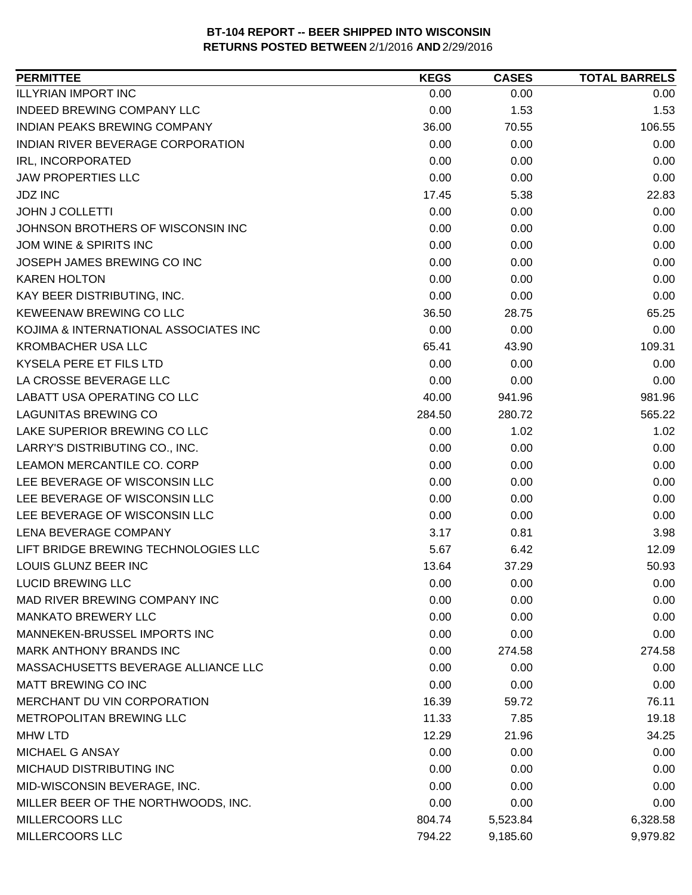| 0.00<br>0.00<br>0.00<br>0.00<br>1.53<br>1.53<br>36.00<br>70.55<br>106.55<br>0.00<br>0.00<br>0.00<br>0.00<br>0.00<br>0.00<br>0.00<br>0.00<br>0.00<br>17.45<br>5.38<br>22.83<br>0.00<br>0.00<br>0.00<br>0.00<br>0.00<br>0.00<br>0.00<br>0.00<br>0.00<br>0.00<br>0.00<br>0.00<br>0.00<br>0.00<br>0.00<br>0.00<br>0.00<br>0.00<br>36.50<br>28.75<br>65.25<br>0.00<br>0.00<br>0.00<br>109.31<br>65.41<br>43.90<br>0.00<br>0.00<br>0.00<br>0.00<br>0.00<br>0.00<br>981.96<br>40.00<br>941.96<br>565.22<br>284.50<br>280.72<br>0.00<br>1.02<br>1.02<br>0.00<br>0.00<br>0.00<br>0.00<br>0.00<br>0.00<br>0.00<br>0.00<br>0.00<br>0.00<br>0.00<br>0.00<br>0.00<br>0.00<br>0.00<br>3.17<br>0.81<br>3.98<br>5.67<br>12.09<br>6.42<br>13.64<br>37.29<br>50.93<br>0.00<br>0.00<br>0.00<br>0.00<br>0.00<br>0.00<br>0.00<br>0.00<br>0.00<br>0.00<br>0.00<br>0.00<br>0.00<br>274.58<br>274.58<br>0.00<br>0.00<br>0.00<br>0.00<br>0.00<br>0.00<br>16.39<br>59.72<br>76.11<br>11.33<br>7.85<br>19.18<br>12.29<br>21.96<br>34.25<br>0.00<br>0.00<br>0.00<br>0.00<br>0.00<br>0.00<br>0.00<br>0.00<br>0.00<br>0.00<br>0.00<br>0.00<br>804.74<br>6,328.58<br>5,523.84 | <b>PERMITTEE</b>                      | <b>KEGS</b> | <b>CASES</b> | <b>TOTAL BARRELS</b> |
|------------------------------------------------------------------------------------------------------------------------------------------------------------------------------------------------------------------------------------------------------------------------------------------------------------------------------------------------------------------------------------------------------------------------------------------------------------------------------------------------------------------------------------------------------------------------------------------------------------------------------------------------------------------------------------------------------------------------------------------------------------------------------------------------------------------------------------------------------------------------------------------------------------------------------------------------------------------------------------------------------------------------------------------------------------------------------------------------------------------------------------------------|---------------------------------------|-------------|--------------|----------------------|
|                                                                                                                                                                                                                                                                                                                                                                                                                                                                                                                                                                                                                                                                                                                                                                                                                                                                                                                                                                                                                                                                                                                                                | <b>ILLYRIAN IMPORT INC</b>            |             |              |                      |
|                                                                                                                                                                                                                                                                                                                                                                                                                                                                                                                                                                                                                                                                                                                                                                                                                                                                                                                                                                                                                                                                                                                                                | <b>INDEED BREWING COMPANY LLC</b>     |             |              |                      |
|                                                                                                                                                                                                                                                                                                                                                                                                                                                                                                                                                                                                                                                                                                                                                                                                                                                                                                                                                                                                                                                                                                                                                | <b>INDIAN PEAKS BREWING COMPANY</b>   |             |              |                      |
|                                                                                                                                                                                                                                                                                                                                                                                                                                                                                                                                                                                                                                                                                                                                                                                                                                                                                                                                                                                                                                                                                                                                                | INDIAN RIVER BEVERAGE CORPORATION     |             |              |                      |
|                                                                                                                                                                                                                                                                                                                                                                                                                                                                                                                                                                                                                                                                                                                                                                                                                                                                                                                                                                                                                                                                                                                                                | IRL, INCORPORATED                     |             |              |                      |
|                                                                                                                                                                                                                                                                                                                                                                                                                                                                                                                                                                                                                                                                                                                                                                                                                                                                                                                                                                                                                                                                                                                                                | <b>JAW PROPERTIES LLC</b>             |             |              |                      |
|                                                                                                                                                                                                                                                                                                                                                                                                                                                                                                                                                                                                                                                                                                                                                                                                                                                                                                                                                                                                                                                                                                                                                | <b>JDZ INC</b>                        |             |              |                      |
|                                                                                                                                                                                                                                                                                                                                                                                                                                                                                                                                                                                                                                                                                                                                                                                                                                                                                                                                                                                                                                                                                                                                                | <b>JOHN J COLLETTI</b>                |             |              |                      |
|                                                                                                                                                                                                                                                                                                                                                                                                                                                                                                                                                                                                                                                                                                                                                                                                                                                                                                                                                                                                                                                                                                                                                | JOHNSON BROTHERS OF WISCONSIN INC     |             |              |                      |
|                                                                                                                                                                                                                                                                                                                                                                                                                                                                                                                                                                                                                                                                                                                                                                                                                                                                                                                                                                                                                                                                                                                                                | JOM WINE & SPIRITS INC                |             |              |                      |
|                                                                                                                                                                                                                                                                                                                                                                                                                                                                                                                                                                                                                                                                                                                                                                                                                                                                                                                                                                                                                                                                                                                                                | JOSEPH JAMES BREWING CO INC           |             |              |                      |
|                                                                                                                                                                                                                                                                                                                                                                                                                                                                                                                                                                                                                                                                                                                                                                                                                                                                                                                                                                                                                                                                                                                                                | <b>KAREN HOLTON</b>                   |             |              |                      |
|                                                                                                                                                                                                                                                                                                                                                                                                                                                                                                                                                                                                                                                                                                                                                                                                                                                                                                                                                                                                                                                                                                                                                | KAY BEER DISTRIBUTING, INC.           |             |              |                      |
|                                                                                                                                                                                                                                                                                                                                                                                                                                                                                                                                                                                                                                                                                                                                                                                                                                                                                                                                                                                                                                                                                                                                                | KEWEENAW BREWING CO LLC               |             |              |                      |
|                                                                                                                                                                                                                                                                                                                                                                                                                                                                                                                                                                                                                                                                                                                                                                                                                                                                                                                                                                                                                                                                                                                                                | KOJIMA & INTERNATIONAL ASSOCIATES INC |             |              |                      |
|                                                                                                                                                                                                                                                                                                                                                                                                                                                                                                                                                                                                                                                                                                                                                                                                                                                                                                                                                                                                                                                                                                                                                | <b>KROMBACHER USA LLC</b>             |             |              |                      |
|                                                                                                                                                                                                                                                                                                                                                                                                                                                                                                                                                                                                                                                                                                                                                                                                                                                                                                                                                                                                                                                                                                                                                | KYSELA PERE ET FILS LTD               |             |              |                      |
|                                                                                                                                                                                                                                                                                                                                                                                                                                                                                                                                                                                                                                                                                                                                                                                                                                                                                                                                                                                                                                                                                                                                                | LA CROSSE BEVERAGE LLC                |             |              |                      |
|                                                                                                                                                                                                                                                                                                                                                                                                                                                                                                                                                                                                                                                                                                                                                                                                                                                                                                                                                                                                                                                                                                                                                | LABATT USA OPERATING CO LLC           |             |              |                      |
|                                                                                                                                                                                                                                                                                                                                                                                                                                                                                                                                                                                                                                                                                                                                                                                                                                                                                                                                                                                                                                                                                                                                                | <b>LAGUNITAS BREWING CO</b>           |             |              |                      |
|                                                                                                                                                                                                                                                                                                                                                                                                                                                                                                                                                                                                                                                                                                                                                                                                                                                                                                                                                                                                                                                                                                                                                | LAKE SUPERIOR BREWING CO LLC          |             |              |                      |
|                                                                                                                                                                                                                                                                                                                                                                                                                                                                                                                                                                                                                                                                                                                                                                                                                                                                                                                                                                                                                                                                                                                                                | LARRY'S DISTRIBUTING CO., INC.        |             |              |                      |
|                                                                                                                                                                                                                                                                                                                                                                                                                                                                                                                                                                                                                                                                                                                                                                                                                                                                                                                                                                                                                                                                                                                                                | LEAMON MERCANTILE CO. CORP            |             |              |                      |
|                                                                                                                                                                                                                                                                                                                                                                                                                                                                                                                                                                                                                                                                                                                                                                                                                                                                                                                                                                                                                                                                                                                                                | LEE BEVERAGE OF WISCONSIN LLC         |             |              |                      |
|                                                                                                                                                                                                                                                                                                                                                                                                                                                                                                                                                                                                                                                                                                                                                                                                                                                                                                                                                                                                                                                                                                                                                | LEE BEVERAGE OF WISCONSIN LLC         |             |              |                      |
|                                                                                                                                                                                                                                                                                                                                                                                                                                                                                                                                                                                                                                                                                                                                                                                                                                                                                                                                                                                                                                                                                                                                                | LEE BEVERAGE OF WISCONSIN LLC         |             |              |                      |
|                                                                                                                                                                                                                                                                                                                                                                                                                                                                                                                                                                                                                                                                                                                                                                                                                                                                                                                                                                                                                                                                                                                                                | LENA BEVERAGE COMPANY                 |             |              |                      |
|                                                                                                                                                                                                                                                                                                                                                                                                                                                                                                                                                                                                                                                                                                                                                                                                                                                                                                                                                                                                                                                                                                                                                | LIFT BRIDGE BREWING TECHNOLOGIES LLC  |             |              |                      |
|                                                                                                                                                                                                                                                                                                                                                                                                                                                                                                                                                                                                                                                                                                                                                                                                                                                                                                                                                                                                                                                                                                                                                | LOUIS GLUNZ BEER INC                  |             |              |                      |
|                                                                                                                                                                                                                                                                                                                                                                                                                                                                                                                                                                                                                                                                                                                                                                                                                                                                                                                                                                                                                                                                                                                                                | <b>LUCID BREWING LLC</b>              |             |              |                      |
|                                                                                                                                                                                                                                                                                                                                                                                                                                                                                                                                                                                                                                                                                                                                                                                                                                                                                                                                                                                                                                                                                                                                                | MAD RIVER BREWING COMPANY INC         |             |              |                      |
|                                                                                                                                                                                                                                                                                                                                                                                                                                                                                                                                                                                                                                                                                                                                                                                                                                                                                                                                                                                                                                                                                                                                                | <b>MANKATO BREWERY LLC</b>            |             |              |                      |
|                                                                                                                                                                                                                                                                                                                                                                                                                                                                                                                                                                                                                                                                                                                                                                                                                                                                                                                                                                                                                                                                                                                                                | MANNEKEN-BRUSSEL IMPORTS INC          |             |              |                      |
|                                                                                                                                                                                                                                                                                                                                                                                                                                                                                                                                                                                                                                                                                                                                                                                                                                                                                                                                                                                                                                                                                                                                                | <b>MARK ANTHONY BRANDS INC</b>        |             |              |                      |
|                                                                                                                                                                                                                                                                                                                                                                                                                                                                                                                                                                                                                                                                                                                                                                                                                                                                                                                                                                                                                                                                                                                                                | MASSACHUSETTS BEVERAGE ALLIANCE LLC   |             |              |                      |
|                                                                                                                                                                                                                                                                                                                                                                                                                                                                                                                                                                                                                                                                                                                                                                                                                                                                                                                                                                                                                                                                                                                                                | MATT BREWING CO INC                   |             |              |                      |
|                                                                                                                                                                                                                                                                                                                                                                                                                                                                                                                                                                                                                                                                                                                                                                                                                                                                                                                                                                                                                                                                                                                                                | MERCHANT DU VIN CORPORATION           |             |              |                      |
|                                                                                                                                                                                                                                                                                                                                                                                                                                                                                                                                                                                                                                                                                                                                                                                                                                                                                                                                                                                                                                                                                                                                                | <b>METROPOLITAN BREWING LLC</b>       |             |              |                      |
|                                                                                                                                                                                                                                                                                                                                                                                                                                                                                                                                                                                                                                                                                                                                                                                                                                                                                                                                                                                                                                                                                                                                                | <b>MHW LTD</b>                        |             |              |                      |
|                                                                                                                                                                                                                                                                                                                                                                                                                                                                                                                                                                                                                                                                                                                                                                                                                                                                                                                                                                                                                                                                                                                                                | <b>MICHAEL G ANSAY</b>                |             |              |                      |
|                                                                                                                                                                                                                                                                                                                                                                                                                                                                                                                                                                                                                                                                                                                                                                                                                                                                                                                                                                                                                                                                                                                                                | MICHAUD DISTRIBUTING INC              |             |              |                      |
|                                                                                                                                                                                                                                                                                                                                                                                                                                                                                                                                                                                                                                                                                                                                                                                                                                                                                                                                                                                                                                                                                                                                                | MID-WISCONSIN BEVERAGE, INC.          |             |              |                      |
|                                                                                                                                                                                                                                                                                                                                                                                                                                                                                                                                                                                                                                                                                                                                                                                                                                                                                                                                                                                                                                                                                                                                                | MILLER BEER OF THE NORTHWOODS, INC.   |             |              |                      |
|                                                                                                                                                                                                                                                                                                                                                                                                                                                                                                                                                                                                                                                                                                                                                                                                                                                                                                                                                                                                                                                                                                                                                | <b>MILLERCOORS LLC</b>                |             |              |                      |
|                                                                                                                                                                                                                                                                                                                                                                                                                                                                                                                                                                                                                                                                                                                                                                                                                                                                                                                                                                                                                                                                                                                                                | MILLERCOORS LLC                       | 794.22      | 9,185.60     | 9,979.82             |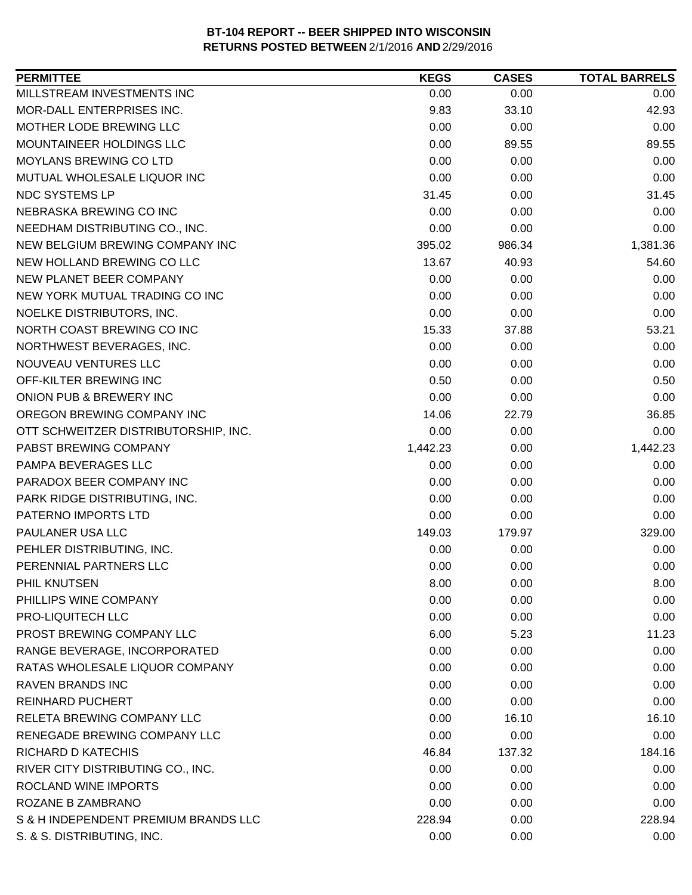| <b>PERMITTEE</b>                     | <b>KEGS</b> | <b>CASES</b> | <b>TOTAL BARRELS</b> |
|--------------------------------------|-------------|--------------|----------------------|
| MILLSTREAM INVESTMENTS INC           | 0.00        | 0.00         | 0.00                 |
| MOR-DALL ENTERPRISES INC.            | 9.83        | 33.10        | 42.93                |
| MOTHER LODE BREWING LLC              | 0.00        | 0.00         | 0.00                 |
| MOUNTAINEER HOLDINGS LLC             | 0.00        | 89.55        | 89.55                |
| MOYLANS BREWING CO LTD               | 0.00        | 0.00         | 0.00                 |
| MUTUAL WHOLESALE LIQUOR INC          | 0.00        | 0.00         | 0.00                 |
| NDC SYSTEMS LP                       | 31.45       | 0.00         | 31.45                |
| NEBRASKA BREWING CO INC              | 0.00        | 0.00         | 0.00                 |
| NEEDHAM DISTRIBUTING CO., INC.       | 0.00        | 0.00         | 0.00                 |
| NEW BELGIUM BREWING COMPANY INC      | 395.02      | 986.34       | 1,381.36             |
| NEW HOLLAND BREWING CO LLC           | 13.67       | 40.93        | 54.60                |
| NEW PLANET BEER COMPANY              | 0.00        | 0.00         | 0.00                 |
| NEW YORK MUTUAL TRADING CO INC       | 0.00        | 0.00         | 0.00                 |
| NOELKE DISTRIBUTORS, INC.            | 0.00        | 0.00         | 0.00                 |
| NORTH COAST BREWING CO INC           | 15.33       | 37.88        | 53.21                |
| NORTHWEST BEVERAGES, INC.            | 0.00        | 0.00         | 0.00                 |
| NOUVEAU VENTURES LLC                 | 0.00        | 0.00         | 0.00                 |
| OFF-KILTER BREWING INC               | 0.50        | 0.00         | 0.50                 |
| ONION PUB & BREWERY INC              | 0.00        | 0.00         | 0.00                 |
| OREGON BREWING COMPANY INC           | 14.06       | 22.79        | 36.85                |
| OTT SCHWEITZER DISTRIBUTORSHIP, INC. | 0.00        | 0.00         | 0.00                 |
| PABST BREWING COMPANY                | 1,442.23    | 0.00         | 1,442.23             |
| PAMPA BEVERAGES LLC                  | 0.00        | 0.00         | 0.00                 |
| PARADOX BEER COMPANY INC             | 0.00        | 0.00         | 0.00                 |
| PARK RIDGE DISTRIBUTING, INC.        | 0.00        | 0.00         | 0.00                 |
| PATERNO IMPORTS LTD                  | 0.00        | 0.00         | 0.00                 |
| PAULANER USA LLC                     | 149.03      | 179.97       | 329.00               |
| PEHLER DISTRIBUTING, INC.            | 0.00        | 0.00         | 0.00                 |
| PERENNIAL PARTNERS LLC               | 0.00        | 0.00         | 0.00                 |
| PHIL KNUTSEN                         | 8.00        | 0.00         | 8.00                 |
| PHILLIPS WINE COMPANY                | 0.00        | 0.00         | 0.00                 |
| PRO-LIQUITECH LLC                    | 0.00        | 0.00         | 0.00                 |
| PROST BREWING COMPANY LLC            | 6.00        | 5.23         | 11.23                |
| RANGE BEVERAGE, INCORPORATED         | 0.00        | 0.00         | 0.00                 |
| RATAS WHOLESALE LIQUOR COMPANY       | 0.00        | 0.00         | 0.00                 |
| <b>RAVEN BRANDS INC</b>              | 0.00        | 0.00         | 0.00                 |
| <b>REINHARD PUCHERT</b>              | 0.00        | 0.00         | 0.00                 |
| RELETA BREWING COMPANY LLC           | 0.00        | 16.10        | 16.10                |
| RENEGADE BREWING COMPANY LLC         | 0.00        | 0.00         | 0.00                 |
| RICHARD D KATECHIS                   | 46.84       | 137.32       | 184.16               |
| RIVER CITY DISTRIBUTING CO., INC.    | 0.00        | 0.00         | 0.00                 |
| ROCLAND WINE IMPORTS                 | 0.00        | 0.00         | 0.00                 |
| ROZANE B ZAMBRANO                    | 0.00        | 0.00         | 0.00                 |
| S & H INDEPENDENT PREMIUM BRANDS LLC | 228.94      | 0.00         | 228.94               |
| S. & S. DISTRIBUTING, INC.           | 0.00        | 0.00         | 0.00                 |
|                                      |             |              |                      |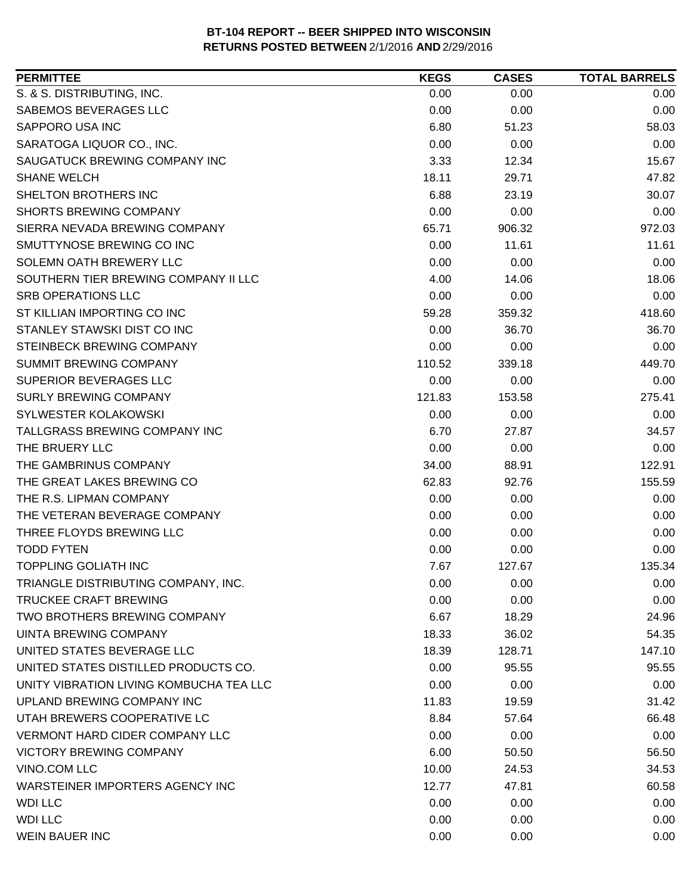| <b>PERMITTEE</b>                        | <b>KEGS</b> | <b>CASES</b> | <b>TOTAL BARRELS</b> |
|-----------------------------------------|-------------|--------------|----------------------|
| S. & S. DISTRIBUTING, INC.              | 0.00        | 0.00         | 0.00                 |
| SABEMOS BEVERAGES LLC                   | 0.00        | 0.00         | 0.00                 |
| SAPPORO USA INC                         | 6.80        | 51.23        | 58.03                |
| SARATOGA LIQUOR CO., INC.               | 0.00        | 0.00         | 0.00                 |
| SAUGATUCK BREWING COMPANY INC           | 3.33        | 12.34        | 15.67                |
| <b>SHANE WELCH</b>                      | 18.11       | 29.71        | 47.82                |
| <b>SHELTON BROTHERS INC</b>             | 6.88        | 23.19        | 30.07                |
| <b>SHORTS BREWING COMPANY</b>           | 0.00        | 0.00         | 0.00                 |
| SIERRA NEVADA BREWING COMPANY           | 65.71       | 906.32       | 972.03               |
| SMUTTYNOSE BREWING CO INC               | 0.00        | 11.61        | 11.61                |
| SOLEMN OATH BREWERY LLC                 | 0.00        | 0.00         | 0.00                 |
| SOUTHERN TIER BREWING COMPANY II LLC    | 4.00        | 14.06        | 18.06                |
| <b>SRB OPERATIONS LLC</b>               | 0.00        | 0.00         | 0.00                 |
| ST KILLIAN IMPORTING CO INC             | 59.28       | 359.32       | 418.60               |
| STANLEY STAWSKI DIST CO INC             | 0.00        | 36.70        | 36.70                |
| STEINBECK BREWING COMPANY               | 0.00        | 0.00         | 0.00                 |
| <b>SUMMIT BREWING COMPANY</b>           | 110.52      | 339.18       | 449.70               |
| SUPERIOR BEVERAGES LLC                  | 0.00        | 0.00         | 0.00                 |
| <b>SURLY BREWING COMPANY</b>            | 121.83      | 153.58       | 275.41               |
| <b>SYLWESTER KOLAKOWSKI</b>             | 0.00        | 0.00         | 0.00                 |
| TALLGRASS BREWING COMPANY INC           | 6.70        | 27.87        | 34.57                |
| THE BRUERY LLC                          | 0.00        | 0.00         | 0.00                 |
| THE GAMBRINUS COMPANY                   | 34.00       | 88.91        | 122.91               |
| THE GREAT LAKES BREWING CO              | 62.83       | 92.76        | 155.59               |
| THE R.S. LIPMAN COMPANY                 | 0.00        | 0.00         | 0.00                 |
| THE VETERAN BEVERAGE COMPANY            | 0.00        | 0.00         | 0.00                 |
| THREE FLOYDS BREWING LLC                | 0.00        | 0.00         | 0.00                 |
| <b>TODD FYTEN</b>                       | 0.00        | 0.00         | 0.00                 |
| <b>TOPPLING GOLIATH INC</b>             | 7.67        | 127.67       | 135.34               |
| TRIANGLE DISTRIBUTING COMPANY, INC.     | 0.00        | 0.00         | 0.00                 |
| <b>TRUCKEE CRAFT BREWING</b>            | 0.00        | 0.00         | 0.00                 |
| TWO BROTHERS BREWING COMPANY            | 6.67        | 18.29        | 24.96                |
| <b>UINTA BREWING COMPANY</b>            | 18.33       | 36.02        | 54.35                |
| UNITED STATES BEVERAGE LLC              | 18.39       | 128.71       | 147.10               |
| UNITED STATES DISTILLED PRODUCTS CO.    | 0.00        | 95.55        | 95.55                |
| UNITY VIBRATION LIVING KOMBUCHA TEA LLC | 0.00        | 0.00         | 0.00                 |
| UPLAND BREWING COMPANY INC              | 11.83       | 19.59        | 31.42                |
| UTAH BREWERS COOPERATIVE LC             | 8.84        | 57.64        | 66.48                |
| <b>VERMONT HARD CIDER COMPANY LLC</b>   | 0.00        | 0.00         | 0.00                 |
| <b>VICTORY BREWING COMPANY</b>          | 6.00        | 50.50        | 56.50                |
| VINO.COM LLC                            | 10.00       | 24.53        | 34.53                |
| WARSTEINER IMPORTERS AGENCY INC         | 12.77       | 47.81        | 60.58                |
| <b>WDI LLC</b>                          | 0.00        | 0.00         | 0.00                 |
| <b>WDI LLC</b>                          | 0.00        | 0.00         | 0.00                 |
| <b>WEIN BAUER INC</b>                   | 0.00        | 0.00         | 0.00                 |